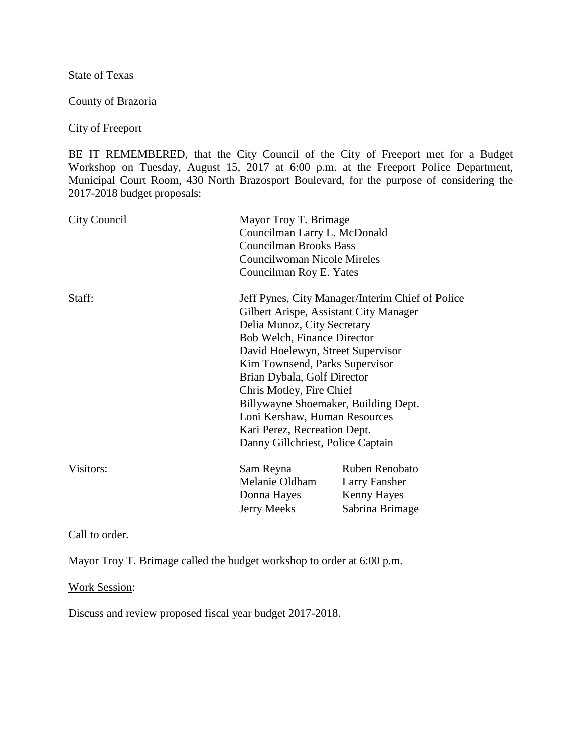State of Texas

County of Brazoria

City of Freeport

BE IT REMEMBERED, that the City Council of the City of Freeport met for a Budget Workshop on Tuesday, August 15, 2017 at 6:00 p.m. at the Freeport Police Department, Municipal Court Room, 430 North Brazosport Boulevard, for the purpose of considering the 2017-2018 budget proposals:

| City Council | Mayor Troy T. Brimage<br>Councilman Larry L. McDonald<br><b>Councilman Brooks Bass</b><br>Councilwoman Nicole Mireles<br>Councilman Roy E. Yates                                                                                                                                                                                                                                     |                                                                   |
|--------------|--------------------------------------------------------------------------------------------------------------------------------------------------------------------------------------------------------------------------------------------------------------------------------------------------------------------------------------------------------------------------------------|-------------------------------------------------------------------|
| Staff:       | Gilbert Arispe, Assistant City Manager<br>Delia Munoz, City Secretary<br>Bob Welch, Finance Director<br>David Hoelewyn, Street Supervisor<br>Kim Townsend, Parks Supervisor<br>Brian Dybala, Golf Director<br>Chris Motley, Fire Chief<br>Billywayne Shoemaker, Building Dept.<br>Loni Kershaw, Human Resources<br>Kari Perez, Recreation Dept.<br>Danny Gillchriest, Police Captain | Jeff Pynes, City Manager/Interim Chief of Police                  |
| Visitors:    | Sam Reyna<br>Melanie Oldham<br>Donna Hayes<br>Jerry Meeks                                                                                                                                                                                                                                                                                                                            | Ruben Renobato<br>Larry Fansher<br>Kenny Hayes<br>Sabrina Brimage |

Call to order.

Mayor Troy T. Brimage called the budget workshop to order at 6:00 p.m.

Work Session:

Discuss and review proposed fiscal year budget 2017-2018.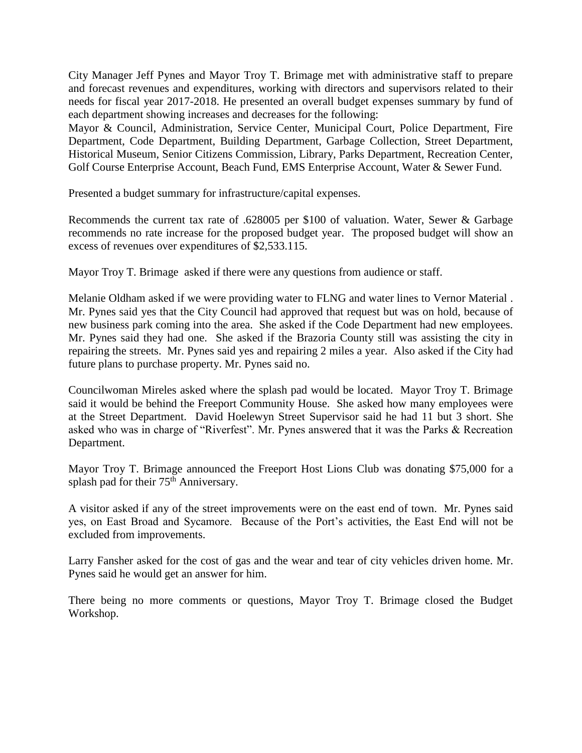City Manager Jeff Pynes and Mayor Troy T. Brimage met with administrative staff to prepare and forecast revenues and expenditures, working with directors and supervisors related to their needs for fiscal year 2017-2018. He presented an overall budget expenses summary by fund of each department showing increases and decreases for the following:

Mayor & Council, Administration, Service Center, Municipal Court, Police Department, Fire Department, Code Department, Building Department, Garbage Collection, Street Department, Historical Museum, Senior Citizens Commission, Library, Parks Department, Recreation Center, Golf Course Enterprise Account, Beach Fund, EMS Enterprise Account, Water & Sewer Fund.

Presented a budget summary for infrastructure/capital expenses.

Recommends the current tax rate of .628005 per \$100 of valuation. Water, Sewer & Garbage recommends no rate increase for the proposed budget year. The proposed budget will show an excess of revenues over expenditures of \$2,533.115.

Mayor Troy T. Brimage asked if there were any questions from audience or staff.

Melanie Oldham asked if we were providing water to FLNG and water lines to Vernor Material . Mr. Pynes said yes that the City Council had approved that request but was on hold, because of new business park coming into the area. She asked if the Code Department had new employees. Mr. Pynes said they had one. She asked if the Brazoria County still was assisting the city in repairing the streets. Mr. Pynes said yes and repairing 2 miles a year. Also asked if the City had future plans to purchase property. Mr. Pynes said no.

Councilwoman Mireles asked where the splash pad would be located. Mayor Troy T. Brimage said it would be behind the Freeport Community House. She asked how many employees were at the Street Department. David Hoelewyn Street Supervisor said he had 11 but 3 short. She asked who was in charge of "Riverfest". Mr. Pynes answered that it was the Parks & Recreation Department.

Mayor Troy T. Brimage announced the Freeport Host Lions Club was donating \$75,000 for a splash pad for their 75<sup>th</sup> Anniversary.

A visitor asked if any of the street improvements were on the east end of town. Mr. Pynes said yes, on East Broad and Sycamore. Because of the Port's activities, the East End will not be excluded from improvements.

Larry Fansher asked for the cost of gas and the wear and tear of city vehicles driven home. Mr. Pynes said he would get an answer for him.

There being no more comments or questions, Mayor Troy T. Brimage closed the Budget Workshop.